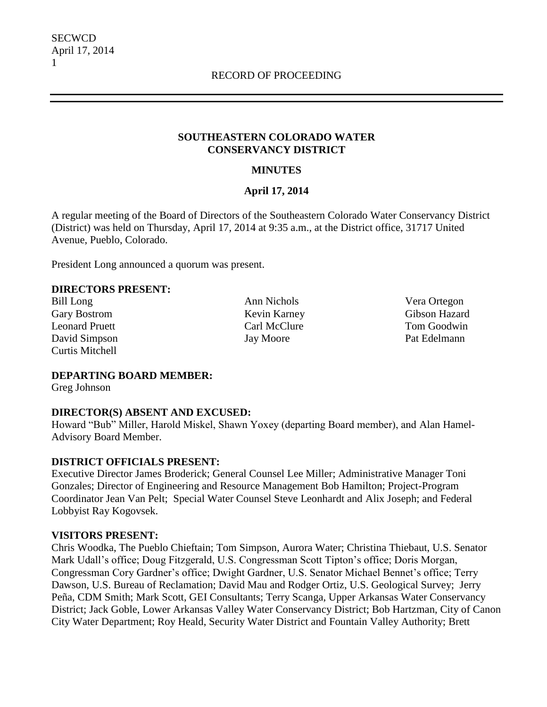### **SOUTHEASTERN COLORADO WATER CONSERVANCY DISTRICT**

### **MINUTES**

### **April 17, 2014**

A regular meeting of the Board of Directors of the Southeastern Colorado Water Conservancy District (District) was held on Thursday, April 17, 2014 at 9:35 a.m., at the District office, 31717 United Avenue, Pueblo, Colorado.

President Long announced a quorum was present.

### **DIRECTORS PRESENT:**

Gary Bostrom Kevin Karney Gibson Hazard Leonard Pruett Carl McClure Tom Goodwin David Simpson Jay Moore Pat Edelmann Curtis Mitchell

Bill Long Ann Nichols Vera Ortegon

#### **DEPARTING BOARD MEMBER:**

Greg Johnson

### **DIRECTOR(S) ABSENT AND EXCUSED:**

Howard "Bub" Miller, Harold Miskel, Shawn Yoxey (departing Board member), and Alan Hamel-Advisory Board Member.

### **DISTRICT OFFICIALS PRESENT:**

Executive Director James Broderick; General Counsel Lee Miller; Administrative Manager Toni Gonzales; Director of Engineering and Resource Management Bob Hamilton; Project-Program Coordinator Jean Van Pelt; Special Water Counsel Steve Leonhardt and Alix Joseph; and Federal Lobbyist Ray Kogovsek.

### **VISITORS PRESENT:**

Chris Woodka, The Pueblo Chieftain; Tom Simpson, Aurora Water; Christina Thiebaut, U.S. Senator Mark Udall's office; Doug Fitzgerald, U.S. Congressman Scott Tipton's office; Doris Morgan, Congressman Cory Gardner's office; Dwight Gardner, U.S. Senator Michael Bennet's office; Terry Dawson, U.S. Bureau of Reclamation; David Mau and Rodger Ortiz, U.S. Geological Survey; Jerry Peña, CDM Smith; Mark Scott, GEI Consultants; Terry Scanga, Upper Arkansas Water Conservancy District; Jack Goble, Lower Arkansas Valley Water Conservancy District; Bob Hartzman, City of Canon City Water Department; Roy Heald, Security Water District and Fountain Valley Authority; Brett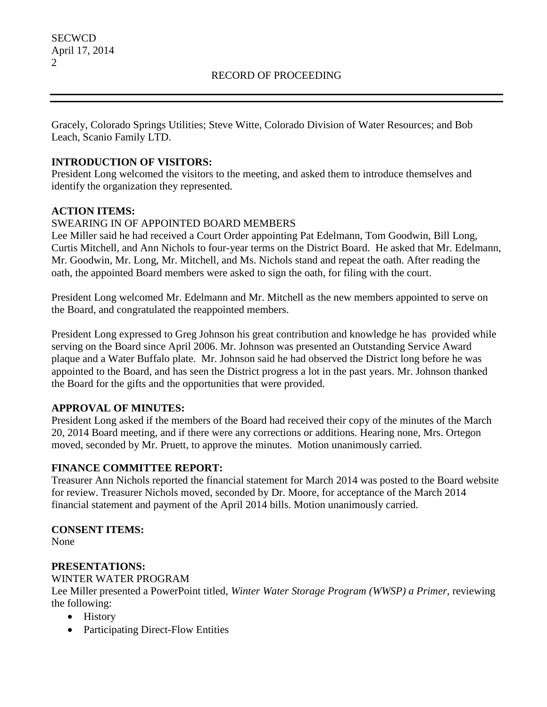Gracely, Colorado Springs Utilities; Steve Witte, Colorado Division of Water Resources; and Bob Leach, Scanio Family LTD.

## **INTRODUCTION OF VISITORS:**

President Long welcomed the visitors to the meeting, and asked them to introduce themselves and identify the organization they represented.

# **ACTION ITEMS:**

# SWEARING IN OF APPOINTED BOARD MEMBERS

Lee Miller said he had received a Court Order appointing Pat Edelmann, Tom Goodwin, Bill Long, Curtis Mitchell, and Ann Nichols to four-year terms on the District Board. He asked that Mr. Edelmann, Mr. Goodwin, Mr. Long, Mr. Mitchell, and Ms. Nichols stand and repeat the oath. After reading the oath, the appointed Board members were asked to sign the oath, for filing with the court.

President Long welcomed Mr. Edelmann and Mr. Mitchell as the new members appointed to serve on the Board, and congratulated the reappointed members.

President Long expressed to Greg Johnson his great contribution and knowledge he has provided while serving on the Board since April 2006. Mr. Johnson was presented an Outstanding Service Award plaque and a Water Buffalo plate. Mr. Johnson said he had observed the District long before he was appointed to the Board, and has seen the District progress a lot in the past years. Mr. Johnson thanked the Board for the gifts and the opportunities that were provided.

## **APPROVAL OF MINUTES:**

President Long asked if the members of the Board had received their copy of the minutes of the March 20, 2014 Board meeting, and if there were any corrections or additions. Hearing none, Mrs. Ortegon moved, seconded by Mr. Pruett, to approve the minutes. Motion unanimously carried.

# **FINANCE COMMITTEE REPORT:**

Treasurer Ann Nichols reported the financial statement for March 2014 was posted to the Board website for review. Treasurer Nichols moved, seconded by Dr. Moore, for acceptance of the March 2014 financial statement and payment of the April 2014 bills. Motion unanimously carried.

## **CONSENT ITEMS:**

None

## **PRESENTATIONS:**

WINTER WATER PROGRAM Lee Miller presented a PowerPoint titled, *Winter Water Storage Program (WWSP) a Primer,* reviewing the following:

- History
- Participating Direct-Flow Entities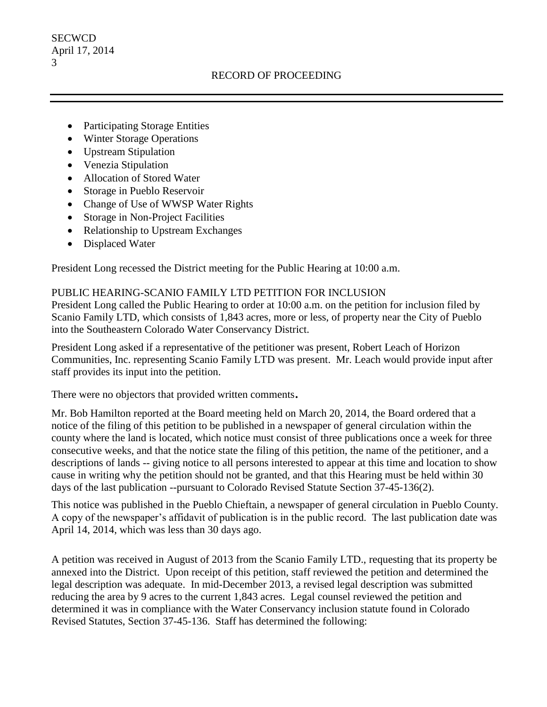- Participating Storage Entities
- Winter Storage Operations
- Upstream Stipulation
- Venezia Stipulation
- Allocation of Stored Water
- Storage in Pueblo Reservoir
- Change of Use of WWSP Water Rights
- Storage in Non-Project Facilities
- Relationship to Upstream Exchanges
- Displaced Water

President Long recessed the District meeting for the Public Hearing at 10:00 a.m.

# PUBLIC HEARING-SCANIO FAMILY LTD PETITION FOR INCLUSION

President Long called the Public Hearing to order at 10:00 a.m. on the petition for inclusion filed by Scanio Family LTD, which consists of 1,843 acres, more or less, of property near the City of Pueblo into the Southeastern Colorado Water Conservancy District.

President Long asked if a representative of the petitioner was present, Robert Leach of Horizon Communities, Inc. representing Scanio Family LTD was present. Mr. Leach would provide input after staff provides its input into the petition.

There were no objectors that provided written comments.

Mr. Bob Hamilton reported at the Board meeting held on March 20, 2014, the Board ordered that a notice of the filing of this petition to be published in a newspaper of general circulation within the county where the land is located, which notice must consist of three publications once a week for three consecutive weeks, and that the notice state the filing of this petition, the name of the petitioner, and a descriptions of lands -- giving notice to all persons interested to appear at this time and location to show cause in writing why the petition should not be granted, and that this Hearing must be held within 30 days of the last publication --pursuant to Colorado Revised Statute Section 37-45-136(2).

This notice was published in the Pueblo Chieftain, a newspaper of general circulation in Pueblo County. A copy of the newspaper's affidavit of publication is in the public record. The last publication date was April 14, 2014, which was less than 30 days ago.

A petition was received in August of 2013 from the Scanio Family LTD., requesting that its property be annexed into the District. Upon receipt of this petition, staff reviewed the petition and determined the legal description was adequate. In mid-December 2013, a revised legal description was submitted reducing the area by 9 acres to the current 1,843 acres. Legal counsel reviewed the petition and determined it was in compliance with the Water Conservancy inclusion statute found in Colorado Revised Statutes, Section 37-45-136. Staff has determined the following: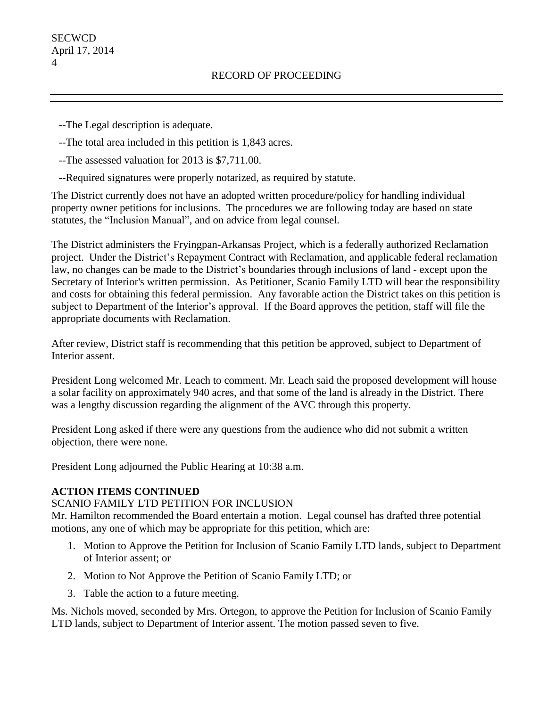- --The Legal description is adequate.
- --The total area included in this petition is 1,843 acres.
- --The assessed valuation for 2013 is \$7,711.00.
- --Required signatures were properly notarized, as required by statute.

The District currently does not have an adopted written procedure/policy for handling individual property owner petitions for inclusions. The procedures we are following today are based on state statutes, the "Inclusion Manual", and on advice from legal counsel.

The District administers the Fryingpan-Arkansas Project, which is a federally authorized Reclamation project. Under the District's Repayment Contract with Reclamation, and applicable federal reclamation law, no changes can be made to the District's boundaries through inclusions of land - except upon the Secretary of Interior's written permission. As Petitioner, Scanio Family LTD will bear the responsibility and costs for obtaining this federal permission. Any favorable action the District takes on this petition is subject to Department of the Interior's approval. If the Board approves the petition, staff will file the appropriate documents with Reclamation.

After review, District staff is recommending that this petition be approved, subject to Department of Interior assent.

President Long welcomed Mr. Leach to comment. Mr. Leach said the proposed development will house a solar facility on approximately 940 acres, and that some of the land is already in the District. There was a lengthy discussion regarding the alignment of the AVC through this property.

President Long asked if there were any questions from the audience who did not submit a written objection, there were none.

President Long adjourned the Public Hearing at 10:38 a.m.

## **ACTION ITEMS CONTINUED**

## SCANIO FAMILY LTD PETITION FOR INCLUSION

Mr. Hamilton recommended the Board entertain a motion. Legal counsel has drafted three potential motions, any one of which may be appropriate for this petition, which are:

- 1. Motion to Approve the Petition for Inclusion of Scanio Family LTD lands, subject to Department of Interior assent; or
- 2. Motion to Not Approve the Petition of Scanio Family LTD; or
- 3. Table the action to a future meeting.

Ms. Nichols moved, seconded by Mrs. Ortegon, to approve the Petition for Inclusion of Scanio Family LTD lands, subject to Department of Interior assent. The motion passed seven to five.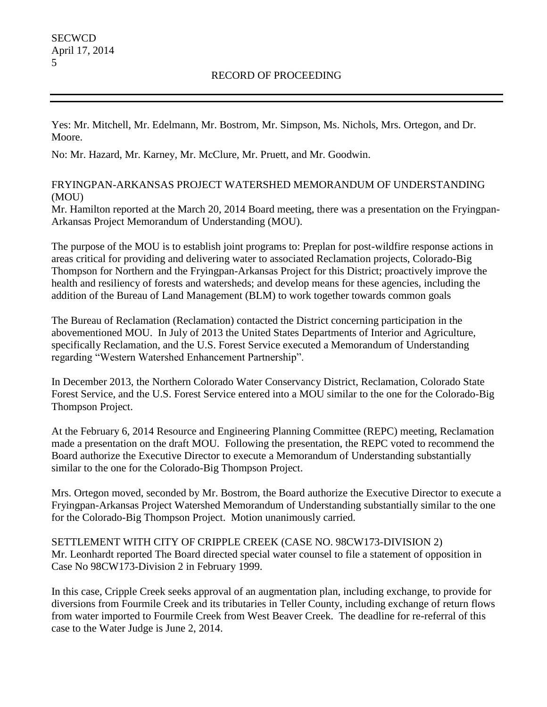Yes: Mr. Mitchell, Mr. Edelmann, Mr. Bostrom, Mr. Simpson, Ms. Nichols, Mrs. Ortegon, and Dr. Moore.

No: Mr. Hazard, Mr. Karney, Mr. McClure, Mr. Pruett, and Mr. Goodwin.

# FRYINGPAN-ARKANSAS PROJECT WATERSHED MEMORANDUM OF UNDERSTANDING (MOU)

Mr. Hamilton reported at the March 20, 2014 Board meeting, there was a presentation on the Fryingpan-Arkansas Project Memorandum of Understanding (MOU).

The purpose of the MOU is to establish joint programs to: Preplan for post-wildfire response actions in areas critical for providing and delivering water to associated Reclamation projects, Colorado-Big Thompson for Northern and the Fryingpan-Arkansas Project for this District; proactively improve the health and resiliency of forests and watersheds; and develop means for these agencies, including the addition of the Bureau of Land Management (BLM) to work together towards common goals

The Bureau of Reclamation (Reclamation) contacted the District concerning participation in the abovementioned MOU. In July of 2013 the United States Departments of Interior and Agriculture, specifically Reclamation, and the U.S. Forest Service executed a Memorandum of Understanding regarding "Western Watershed Enhancement Partnership".

In December 2013, the Northern Colorado Water Conservancy District, Reclamation, Colorado State Forest Service, and the U.S. Forest Service entered into a MOU similar to the one for the Colorado-Big Thompson Project.

At the February 6, 2014 Resource and Engineering Planning Committee (REPC) meeting, Reclamation made a presentation on the draft MOU. Following the presentation, the REPC voted to recommend the Board authorize the Executive Director to execute a Memorandum of Understanding substantially similar to the one for the Colorado-Big Thompson Project.

Mrs. Ortegon moved, seconded by Mr. Bostrom, the Board authorize the Executive Director to execute a Fryingpan-Arkansas Project Watershed Memorandum of Understanding substantially similar to the one for the Colorado-Big Thompson Project. Motion unanimously carried.

SETTLEMENT WITH CITY OF CRIPPLE CREEK (CASE NO. 98CW173-DIVISION 2) Mr. Leonhardt reported The Board directed special water counsel to file a statement of opposition in Case No 98CW173-Division 2 in February 1999.

In this case, Cripple Creek seeks approval of an augmentation plan, including exchange, to provide for diversions from Fourmile Creek and its tributaries in Teller County, including exchange of return flows from water imported to Fourmile Creek from West Beaver Creek. The deadline for re-referral of this case to the Water Judge is June 2, 2014.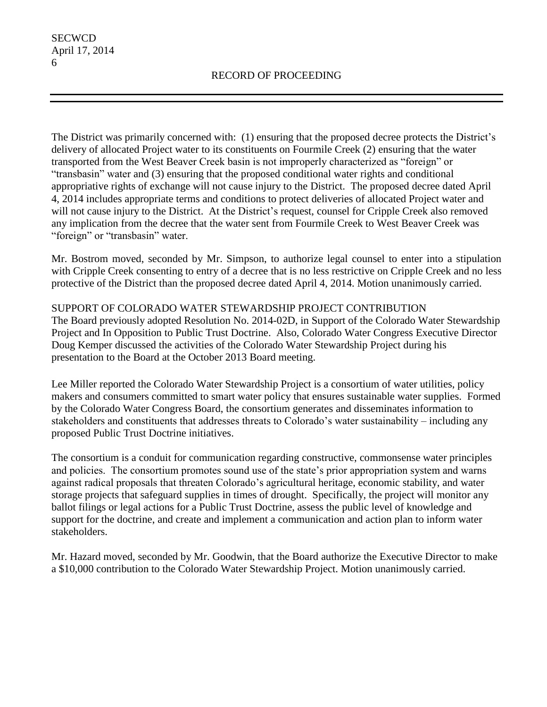The District was primarily concerned with: (1) ensuring that the proposed decree protects the District's delivery of allocated Project water to its constituents on Fourmile Creek (2) ensuring that the water transported from the West Beaver Creek basin is not improperly characterized as "foreign" or "transbasin" water and (3) ensuring that the proposed conditional water rights and conditional appropriative rights of exchange will not cause injury to the District. The proposed decree dated April 4, 2014 includes appropriate terms and conditions to protect deliveries of allocated Project water and will not cause injury to the District. At the District's request, counsel for Cripple Creek also removed any implication from the decree that the water sent from Fourmile Creek to West Beaver Creek was "foreign" or "transbasin" water.

Mr. Bostrom moved, seconded by Mr. Simpson, to authorize legal counsel to enter into a stipulation with Cripple Creek consenting to entry of a decree that is no less restrictive on Cripple Creek and no less protective of the District than the proposed decree dated April 4, 2014. Motion unanimously carried.

## SUPPORT OF COLORADO WATER STEWARDSHIP PROJECT CONTRIBUTION

The Board previously adopted Resolution No. 2014-02D, in Support of the Colorado Water Stewardship Project and In Opposition to Public Trust Doctrine. Also, Colorado Water Congress Executive Director Doug Kemper discussed the activities of the Colorado Water Stewardship Project during his presentation to the Board at the October 2013 Board meeting.

Lee Miller reported the Colorado Water Stewardship Project is a consortium of water utilities, policy makers and consumers committed to smart water policy that ensures sustainable water supplies. Formed by the Colorado Water Congress Board, the consortium generates and disseminates information to stakeholders and constituents that addresses threats to Colorado's water sustainability – including any proposed Public Trust Doctrine initiatives.

The consortium is a conduit for communication regarding constructive, commonsense water principles and policies. The consortium promotes sound use of the state's prior appropriation system and warns against radical proposals that threaten Colorado's agricultural heritage, economic stability, and water storage projects that safeguard supplies in times of drought. Specifically, the project will monitor any ballot filings or legal actions for a Public Trust Doctrine, assess the public level of knowledge and support for the doctrine, and create and implement a communication and action plan to inform water stakeholders.

Mr. Hazard moved, seconded by Mr. Goodwin, that the Board authorize the Executive Director to make a \$10,000 contribution to the Colorado Water Stewardship Project. Motion unanimously carried.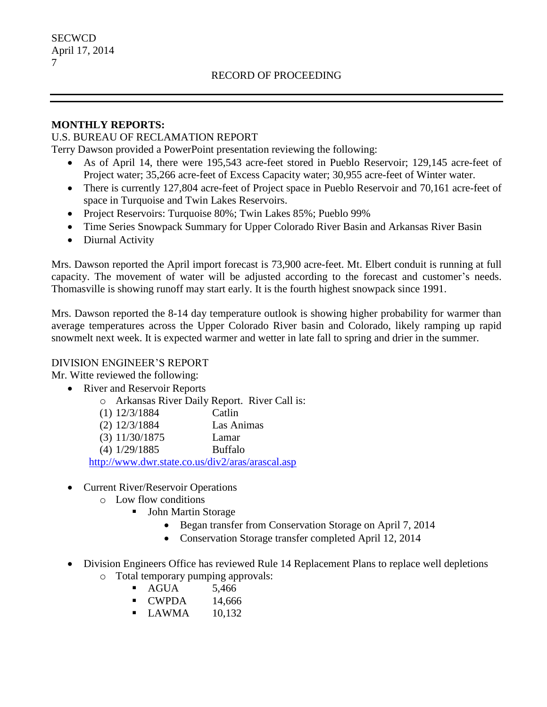### **MONTHLY REPORTS:**

### U.S. BUREAU OF RECLAMATION REPORT

Terry Dawson provided a PowerPoint presentation reviewing the following:

- As of April 14, there were 195,543 acre-feet stored in Pueblo Reservoir; 129,145 acre-feet of Project water; 35,266 acre-feet of Excess Capacity water; 30,955 acre-feet of Winter water.
- There is currently 127,804 acre-feet of Project space in Pueblo Reservoir and 70,161 acre-feet of space in Turquoise and Twin Lakes Reservoirs.
- Project Reservoirs: Turquoise 80%; Twin Lakes 85%; Pueblo 99%
- Time Series Snowpack Summary for Upper Colorado River Basin and Arkansas River Basin
- Diurnal Activity

Mrs. Dawson reported the April import forecast is 73,900 acre-feet. Mt. Elbert conduit is running at full capacity. The movement of water will be adjusted according to the forecast and customer's needs. Thomasville is showing runoff may start early. It is the fourth highest snowpack since 1991.

Mrs. Dawson reported the 8-14 day temperature outlook is showing higher probability for warmer than average temperatures across the Upper Colorado River basin and Colorado, likely ramping up rapid snowmelt next week. It is expected warmer and wetter in late fall to spring and drier in the summer.

## DIVISION ENGINEER'S REPORT

Mr. Witte reviewed the following:

- River and Reservoir Reports
	- o Arkansas River Daily Report. River Call is:

| $(1)$ 12/3/1884  | Catlin                                           |
|------------------|--------------------------------------------------|
| $(2)$ 12/3/1884  | Las Animas                                       |
| $(3)$ 11/30/1875 | Lamar                                            |
| $(4)$ 1/29/1885  | <b>Buffalo</b>                                   |
|                  | http://www.dwr.state.co.us/div2/aras/arascal.asp |

• Current River/Reservoir Operations

- o Low flow conditions
	- John Martin Storage
		- Began transfer from Conservation Storage on April 7, 2014
		- Conservation Storage transfer completed April 12, 2014
- Division Engineers Office has reviewed Rule 14 Replacement Plans to replace well depletions o Total temporary pumping approvals:
	- AGUA 5,466
		- **CWPDA** 14,666
		- $-LAWMA$  10,132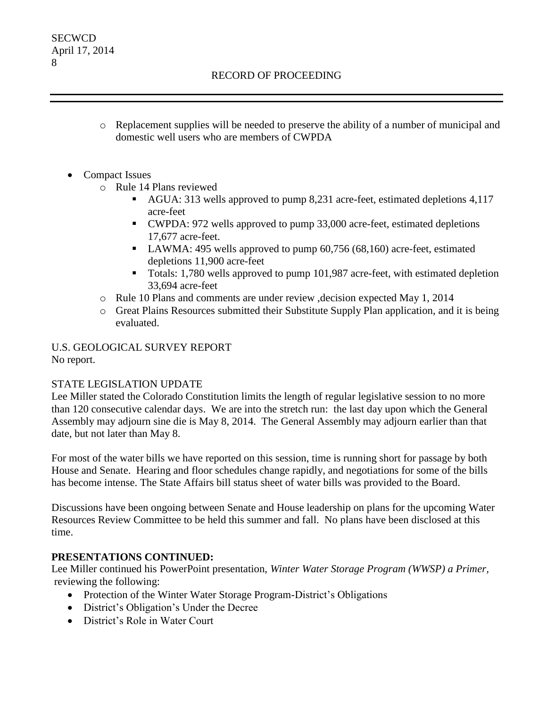### **SECWCD** April 17, 2014 8

## RECORD OF PROCEEDING

- o Replacement supplies will be needed to preserve the ability of a number of municipal and domestic well users who are members of CWPDA
- Compact Issues
	- o Rule 14 Plans reviewed
		- AGUA: 313 wells approved to pump 8,231 acre-feet, estimated depletions 4,117 acre-feet
		- CWPDA: 972 wells approved to pump 33,000 acre-feet, estimated depletions 17,677 acre-feet.
		- LAWMA: 495 wells approved to pump 60,756 (68,160) acre-feet, estimated depletions 11,900 acre-feet
		- Totals: 1,780 wells approved to pump 101,987 acre-feet, with estimated depletion 33,694 acre-feet
	- o Rule 10 Plans and comments are under review ,decision expected May 1, 2014
	- o Great Plains Resources submitted their Substitute Supply Plan application, and it is being evaluated.

#### U.S. GEOLOGICAL SURVEY REPORT No report.

STATE LEGISLATION UPDATE

Lee Miller stated the Colorado Constitution limits the length of regular legislative session to no more than 120 consecutive calendar days. We are into the stretch run: the last day upon which the General Assembly may adjourn sine die is May 8, 2014. The General Assembly may adjourn earlier than that date, but not later than May 8.

For most of the water bills we have reported on this session, time is running short for passage by both House and Senate. Hearing and floor schedules change rapidly, and negotiations for some of the bills has become intense. The State Affairs bill status sheet of water bills was provided to the Board.

Discussions have been ongoing between Senate and House leadership on plans for the upcoming Water Resources Review Committee to be held this summer and fall. No plans have been disclosed at this time.

## **PRESENTATIONS CONTINUED:**

Lee Miller continued his PowerPoint presentation, *Winter Water Storage Program (WWSP) a Primer,* reviewing the following:

- Protection of the Winter Water Storage Program-District's Obligations
- District's Obligation's Under the Decree
- District's Role in Water Court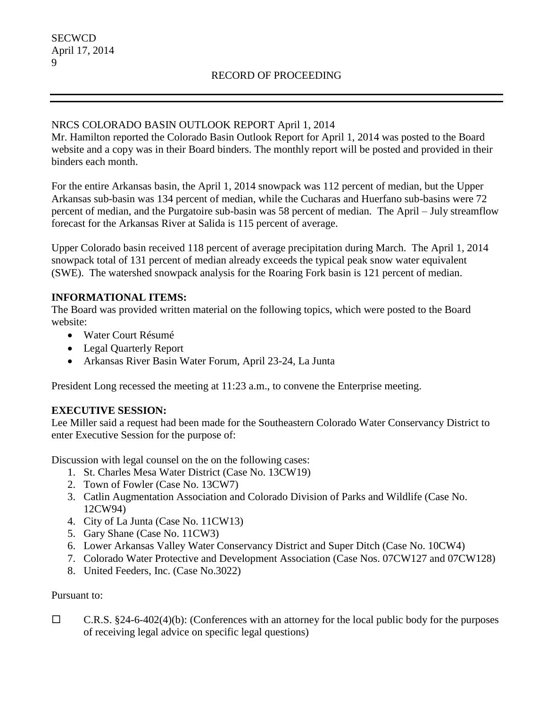### NRCS COLORADO BASIN OUTLOOK REPORT April 1, 2014

Mr. Hamilton reported the Colorado Basin Outlook Report for April 1, 2014 was posted to the Board website and a copy was in their Board binders. The monthly report will be posted and provided in their binders each month.

For the entire Arkansas basin, the April 1, 2014 snowpack was 112 percent of median, but the Upper Arkansas sub-basin was 134 percent of median, while the Cucharas and Huerfano sub-basins were 72 percent of median, and the Purgatoire sub-basin was 58 percent of median. The April – July streamflow forecast for the Arkansas River at Salida is 115 percent of average.

Upper Colorado basin received 118 percent of average precipitation during March. The April 1, 2014 snowpack total of 131 percent of median already exceeds the typical peak snow water equivalent (SWE). The watershed snowpack analysis for the Roaring Fork basin is 121 percent of median.

## **INFORMATIONAL ITEMS:**

The Board was provided written material on the following topics, which were posted to the Board website:

- Water Court Résumé
- Legal Quarterly Report
- Arkansas River Basin Water Forum, April 23-24, La Junta

President Long recessed the meeting at 11:23 a.m., to convene the Enterprise meeting.

## **EXECUTIVE SESSION:**

Lee Miller said a request had been made for the Southeastern Colorado Water Conservancy District to enter Executive Session for the purpose of:

Discussion with legal counsel on the on the following cases:

- 1. St. Charles Mesa Water District (Case No. 13CW19)
- 2. Town of Fowler (Case No. 13CW7)
- 3. Catlin Augmentation Association and Colorado Division of Parks and Wildlife (Case No. 12CW94)
- 4. City of La Junta (Case No. 11CW13)
- 5. Gary Shane (Case No. 11CW3)
- 6. Lower Arkansas Valley Water Conservancy District and Super Ditch (Case No. 10CW4)
- 7. Colorado Water Protective and Development Association (Case Nos. 07CW127 and 07CW128)
- 8. United Feeders, Inc. (Case No.3022)

## Pursuant to:

 $\Box$  C.R.S. §24-6-402(4)(b): (Conferences with an attorney for the local public body for the purposes of receiving legal advice on specific legal questions)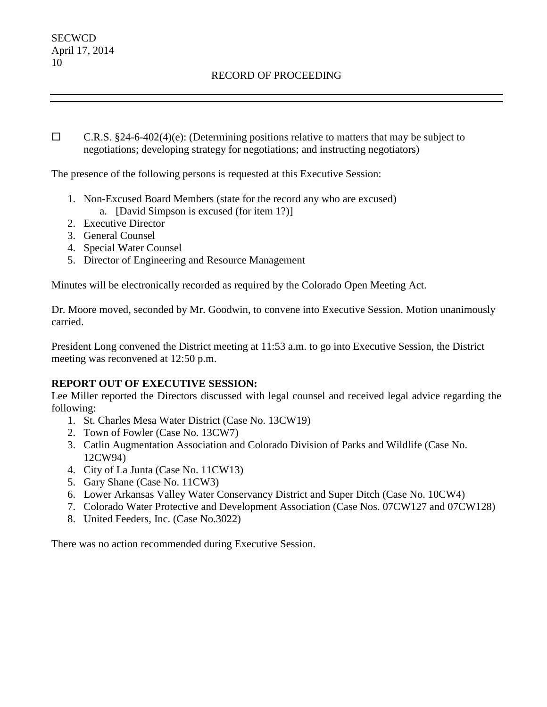$\Box$  C.R.S. §24-6-402(4)(e): (Determining positions relative to matters that may be subject to negotiations; developing strategy for negotiations; and instructing negotiators)

The presence of the following persons is requested at this Executive Session:

- 1. Non-Excused Board Members (state for the record any who are excused)
	- a. [David Simpson is excused (for item 1?)]
- 2. Executive Director
- 3. General Counsel
- 4. Special Water Counsel
- 5. Director of Engineering and Resource Management

Minutes will be electronically recorded as required by the Colorado Open Meeting Act.

Dr. Moore moved, seconded by Mr. Goodwin, to convene into Executive Session. Motion unanimously carried.

President Long convened the District meeting at 11:53 a.m. to go into Executive Session, the District meeting was reconvened at 12:50 p.m.

## **REPORT OUT OF EXECUTIVE SESSION:**

Lee Miller reported the Directors discussed with legal counsel and received legal advice regarding the following:

- 1. St. Charles Mesa Water District (Case No. 13CW19)
- 2. Town of Fowler (Case No. 13CW7)
- 3. Catlin Augmentation Association and Colorado Division of Parks and Wildlife (Case No. 12CW94)
- 4. City of La Junta (Case No. 11CW13)
- 5. Gary Shane (Case No. 11CW3)
- 6. Lower Arkansas Valley Water Conservancy District and Super Ditch (Case No. 10CW4)
- 7. Colorado Water Protective and Development Association (Case Nos. 07CW127 and 07CW128)
- 8. United Feeders, Inc. (Case No.3022)

There was no action recommended during Executive Session.